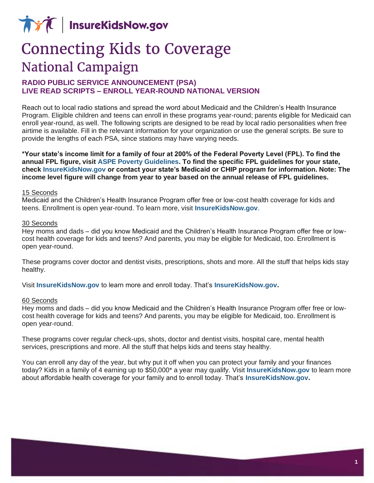**AVA** InsureKidsNow.gov

# **Connecting Kids to Coverage National Campaign**

# **RADIO PUBLIC SERVICE ANNOUNCEMENT (PSA) LIVE READ SCRIPTS – ENROLL YEAR-ROUND NATIONAL VERSION**

Reach out to local radio stations and spread the word about Medicaid and the Children's Health Insurance Program. Eligible children and teens can enroll in these programs year-round; parents eligible for Medicaid can enroll year-round, as well. The following scripts are designed to be read by local radio personalities when free airtime is available. Fill in the relevant information for your organization or use the general scripts. Be sure to provide the lengths of each PSA, since stations may have varying needs.

**\*Your state's income limit for a family of four at 200% of the Federal Poverty Level (FPL). To find the annual FPL figure, visit [ASPE Poverty Guidelines.](https://aspe.hhs.gov/poverty-guidelines) To find the specific FPL guidelines for your state, check [InsureKidsNow.gov](https://www.insurekidsnow.gov/coverage/index.html) or contact your state's Medicaid or CHIP program for information. Note: The income level figure will change from year to year based on the annual release of FPL guidelines.**

## 15 Seconds

Medicaid and the Children's Health Insurance Program offer free or low-cost health coverage for kids and teens. Enrollment is open year-round. To learn more, visit **[InsureKidsNow.gov](https://www.insurekidsnow.gov/)**.

#### 30 Seconds

Hey moms and dads – did you know Medicaid and the Children's Health Insurance Program offer free or lowcost health coverage for kids and teens? And parents, you may be eligible for Medicaid, too. Enrollment is open year-round.

These programs cover doctor and dentist visits, prescriptions, shots and more. All the stuff that helps kids stay healthy.

Visit **[InsureKidsNow.gov](https://www.insurekidsnow.gov/)** to learn more and enroll today. That's **[InsureKidsNow.gov.](https://www.insurekidsnow.gov/)** 

#### 60 Seconds

Hey moms and dads – did you know Medicaid and the Children's Health Insurance Program offer free or lowcost health coverage for kids and teens? And parents, you may be eligible for Medicaid, too. Enrollment is open year-round.

These programs cover regular check-ups, shots, doctor and dentist visits, hospital care, mental health services, prescriptions and more. All the stuff that helps kids and teens stay healthy.

You can enroll any day of the year, but why put it off when you can protect your family and your finances today? Kids in a family of 4 earning up to \$50,000\* a year may qualify. Visit **[InsureKidsNow.gov](https://www.insurekidsnow.gov/)** to learn more about affordable health coverage for your family and to enroll today. That's **[InsureKidsNow.gov.](https://www.insurekidsnow.gov/)**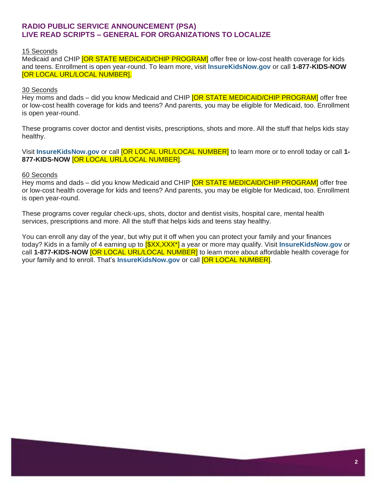# **RADIO PUBLIC SERVICE ANNOUNCEMENT (PSA) LIVE READ SCRIPTS – GENERAL FOR ORGANIZATIONS TO LOCALIZE**

## 15 Seconds

Medicaid and CHIP **[OR STATE MEDICAID/CHIP PROGRAM]** offer free or low-cost health coverage for kids and teens. Enrollment is open year-round. To learn more, visit **[InsureKidsNow.gov](https://www.insurekidsnow.gov/)** or call **1-877-KIDS-NOW** [OR LOCAL URL/LOCAL NUMBER].

## 30 Seconds

Hey moms and dads – did you know Medicaid and CHIP **[OR STATE MEDICAID/CHIP PROGRAM]** offer free or low-cost health coverage for kids and teens? And parents, you may be eligible for Medicaid, too. Enrollment is open year-round.

These programs cover doctor and dentist visits, prescriptions, shots and more. All the stuff that helps kids stay healthy.

Visit **[InsureKidsNow.gov](https://www.insurekidsnow.gov/)** or call [OR LOCAL URL/LOCAL NUMBER] to learn more or to enroll today or call **1- 877-KIDS-NOW** [OR LOCAL URL/LOCAL NUMBER].

## 60 Seconds

Hey moms and dads – did you know Medicaid and CHIP **[OR STATE MEDICAID/CHIP PROGRAM]** offer free or low-cost health coverage for kids and teens? And parents, you may be eligible for Medicaid, too. Enrollment is open year-round.

These programs cover regular check-ups, shots, doctor and dentist visits, hospital care, mental health services, prescriptions and more. All the stuff that helps kids and teens stay healthy.

You can enroll any day of the year, but why put it off when you can protect your family and your finances today? Kids in a family of 4 earning up to [\$XX,XXX\*] a year or more may qualify. Visit **[InsureKidsNow.gov](https://www.insurekidsnow.gov/)** or call **1-877-KIDS-NOW** [OR LOCAL URL/LOCAL NUMBER] to learn more about affordable health coverage for your family and to enroll. That's **[InsureKidsNow.gov](https://www.insurekidsnow.gov/)** or call [OR LOCAL NUMBER].